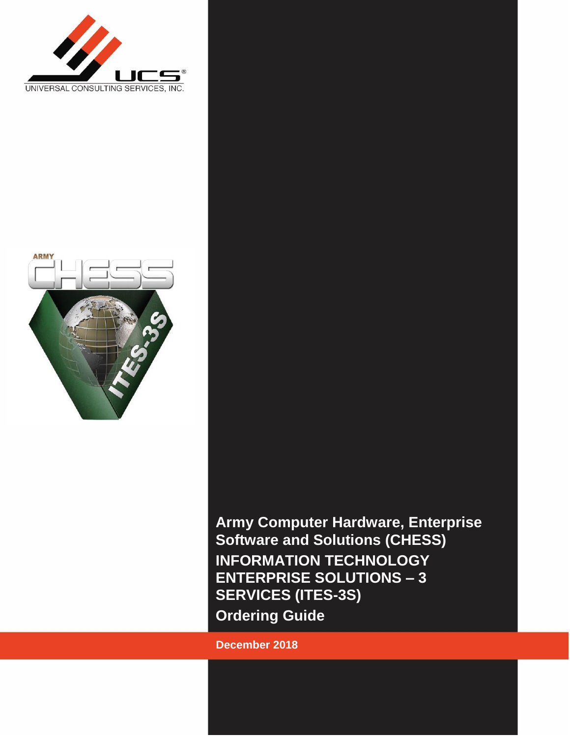



**Army Computer Hardware, Enterprise Software and Solutions (CHESS) INFORMATION TECHNOLOGY ENTERPRISE SOLUTIONS – 3 SERVICES (ITES-3S) Ordering Guide**

**December 2018**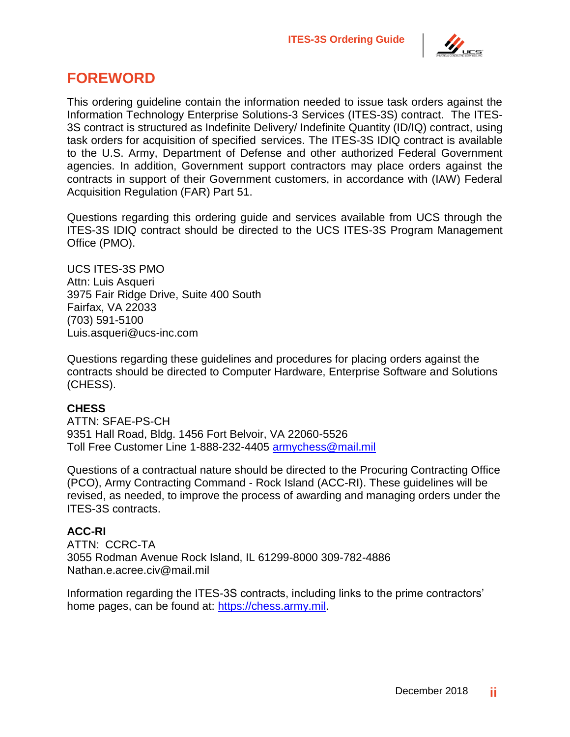

# **FOREWORD**

This ordering guideline contain the information needed to issue task orders against the Information Technology Enterprise Solutions-3 Services (ITES-3S) contract. The ITES-3S contract is structured as Indefinite Delivery/ Indefinite Quantity (ID/IQ) contract, using task orders for acquisition of specified services. The ITES-3S IDIQ contract is available to the U.S. Army, Department of Defense and other authorized Federal Government agencies. In addition, Government support contractors may place orders against the contracts in support of their Government customers, in accordance with (IAW) Federal Acquisition Regulation (FAR) Part 51.

Questions regarding this ordering guide and services available from UCS through the ITES-3S IDIQ contract should be directed to the UCS ITES-3S Program Management Office (PMO).

UCS ITES-3S PMO Attn: Luis Asqueri 3975 Fair Ridge Drive, Suite 400 South Fairfax, VA 22033 (703) 591-5100 Luis.asqueri@ucs-inc.com

Questions regarding these guidelines and procedures for placing orders against the contracts should be directed to Computer Hardware, Enterprise Software and Solutions (CHESS).

#### **CHESS**

ATTN: SFAE-PS-CH 9351 Hall Road, Bldg. 1456 Fort Belvoir, VA 22060-5526 Toll Free Customer Line 1-888-232-4405 [armychess@mail.mil](mailto:armychess@mail.mil)

Questions of a contractual nature should be directed to the Procuring Contracting Office (PCO), Army Contracting Command - Rock Island (ACC-RI). These guidelines will be revised, as needed, to improve the process of awarding and managing orders under the ITES-3S contracts.

#### **ACC-RI**

ATTN: CCRC-TA 3055 Rodman Avenue Rock Island, IL 61299-8000 309-782-4886 Nathan.e.acree.civ@mail.mil

Information regarding the ITES-3S contracts, including links to the prime contractors' home pages, can be found at: [https://chess.army.mil.](https://chess.army.mil/)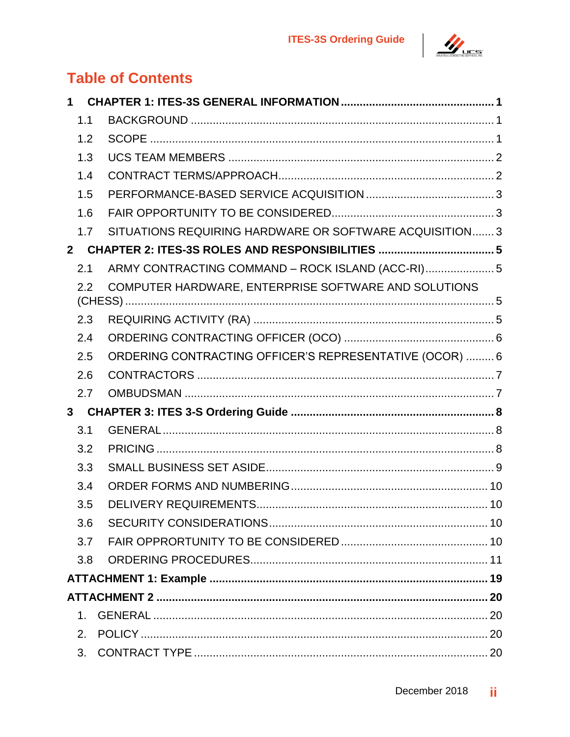

# **Table of Contents**

| $\mathbf 1$    |                                                         |  |
|----------------|---------------------------------------------------------|--|
| 1.1            |                                                         |  |
| 1.2            |                                                         |  |
| 1.3            |                                                         |  |
| 1.4            |                                                         |  |
| 1.5            |                                                         |  |
| 1.6            |                                                         |  |
| 1.7            | SITUATIONS REQUIRING HARDWARE OR SOFTWARE ACQUISITION 3 |  |
|                |                                                         |  |
| 2.1            | ARMY CONTRACTING COMMAND - ROCK ISLAND (ACC-RI) 5       |  |
| 2.2            | COMPUTER HARDWARE, ENTERPRISE SOFTWARE AND SOLUTIONS    |  |
| 2.3            |                                                         |  |
| 2.4            |                                                         |  |
| 2.5            | ORDERING CONTRACTING OFFICER'S REPRESENTATIVE (OCOR)  6 |  |
| 2.6            |                                                         |  |
| 2.7            |                                                         |  |
|                |                                                         |  |
| 3.1            |                                                         |  |
| 3.2            |                                                         |  |
| 3.3            |                                                         |  |
| 3.4            |                                                         |  |
| 3.5            |                                                         |  |
| 3.6            |                                                         |  |
| 3.7            |                                                         |  |
| 3.8            |                                                         |  |
|                |                                                         |  |
|                |                                                         |  |
| $1_{-}$        |                                                         |  |
| 2 <sub>1</sub> |                                                         |  |
| 3.             |                                                         |  |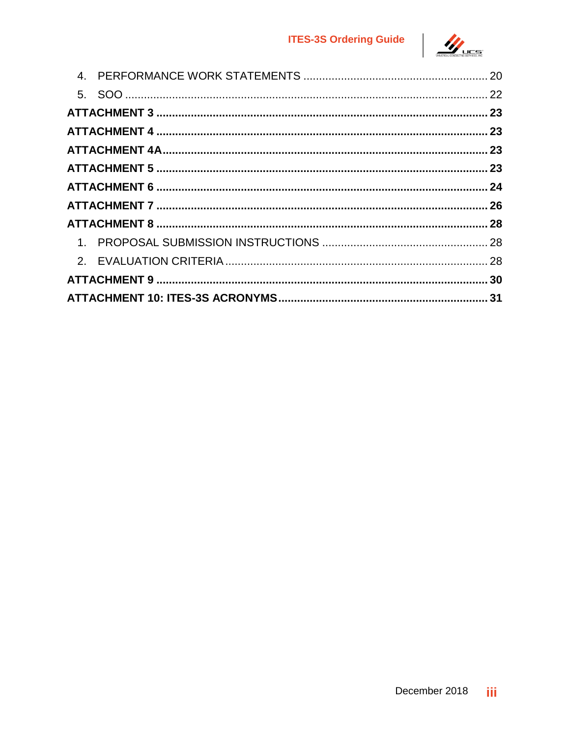### **ITES-3S Ordering Guide**

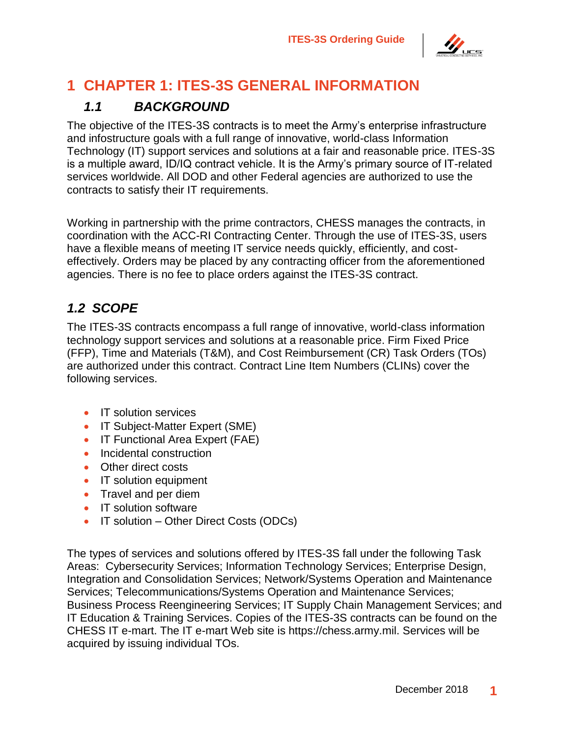

# <span id="page-4-0"></span>**1 CHAPTER 1: ITES-3S GENERAL INFORMATION**

# *1.1 BACKGROUND*

<span id="page-4-1"></span>The objective of the ITES-3S contracts is to meet the Army's enterprise infrastructure and infostructure goals with a full range of innovative, world-class Information Technology (IT) support services and solutions at a fair and reasonable price. ITES-3S is a multiple award, ID/IQ contract vehicle. It is the Army's primary source of IT-related services worldwide. All DOD and other Federal agencies are authorized to use the contracts to satisfy their IT requirements.

Working in partnership with the prime contractors, CHESS manages the contracts, in coordination with the ACC-RI Contracting Center. Through the use of ITES-3S, users have a flexible means of meeting IT service needs quickly, efficiently, and costeffectively. Orders may be placed by any contracting officer from the aforementioned agencies. There is no fee to place orders against the ITES-3S contract.

# <span id="page-4-2"></span>*1.2 SCOPE*

The ITES-3S contracts encompass a full range of innovative, world-class information technology support services and solutions at a reasonable price. Firm Fixed Price (FFP), Time and Materials (T&M), and Cost Reimbursement (CR) Task Orders (TOs) are authorized under this contract. Contract Line Item Numbers (CLINs) cover the following services.

- IT solution services
- IT Subject-Matter Expert (SME)
- IT Functional Area Expert (FAE)
- Incidental construction
- Other direct costs
- IT solution equipment
- Travel and per diem
- IT solution software
- IT solution Other Direct Costs (ODCs)

The types of services and solutions offered by ITES-3S fall under the following Task Areas: Cybersecurity Services; Information Technology Services; Enterprise Design, Integration and Consolidation Services; Network/Systems Operation and Maintenance Services; Telecommunications/Systems Operation and Maintenance Services; Business Process Reengineering Services; IT Supply Chain Management Services; and IT Education & Training Services. Copies of the ITES-3S contracts can be found on the CHESS IT e-mart. The IT e-mart Web site is https://chess.army.mil. Services will be acquired by issuing individual TOs.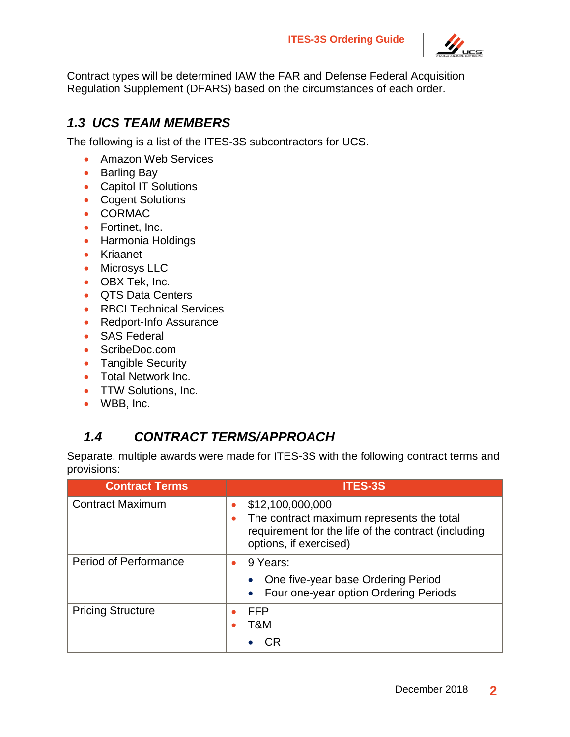**ITES-3S Ordering Guide**



Contract types will be determined IAW the FAR and Defense Federal Acquisition Regulation Supplement (DFARS) based on the circumstances of each order.

### <span id="page-5-0"></span>*1.3 UCS TEAM MEMBERS*

The following is a list of the ITES-3S subcontractors for UCS.

- Amazon Web Services
- Barling Bay
- Capitol IT Solutions
- Cogent Solutions
- CORMAC
- Fortinet, Inc.
- Harmonia Holdings
- Kriaanet
- Microsys LLC
- OBX Tek, Inc.
- QTS Data Centers
- RBCI Technical Services
- Redport-Info Assurance
- SAS Federal
- ScribeDoc.com
- Tangible Security
- Total Network Inc.
- TTW Solutions, Inc.
- WBB, Inc.

## <span id="page-5-1"></span>*1.4 CONTRACT TERMS/APPROACH*

Separate, multiple awards were made for ITES-3S with the following contract terms and provisions:

| <b>Contract Terms</b>        | <b>ITES-3S</b>                                                                                                                                 |
|------------------------------|------------------------------------------------------------------------------------------------------------------------------------------------|
| <b>Contract Maximum</b>      | \$12,100,000,000<br>The contract maximum represents the total<br>requirement for the life of the contract (including<br>options, if exercised) |
| <b>Period of Performance</b> | 9 Years:<br>$\bullet$<br>One five-year base Ordering Period<br>Four one-year option Ordering Periods<br>$\bullet$                              |
| <b>Pricing Structure</b>     | <b>FFP</b><br>T&M<br>CR                                                                                                                        |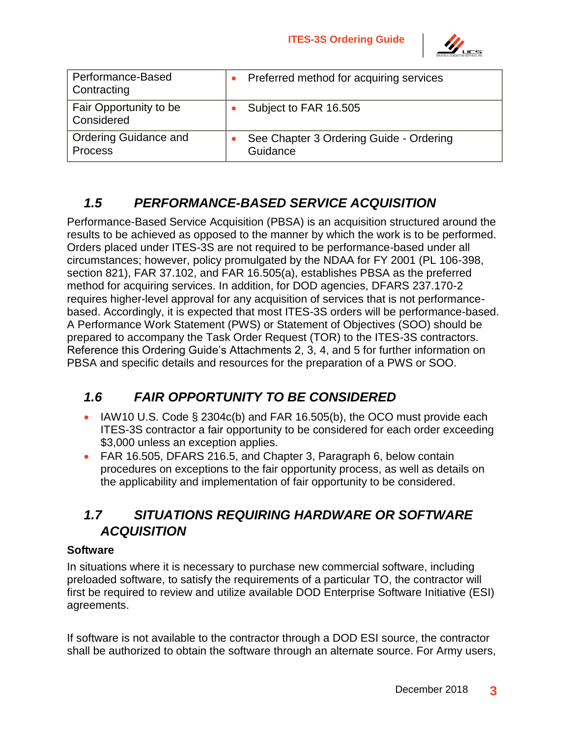

| Performance-Based<br>Contracting               | Preferred method for acquiring services             |
|------------------------------------------------|-----------------------------------------------------|
| Fair Opportunity to be<br>Considered           | Subject to FAR 16.505                               |
| <b>Ordering Guidance and</b><br><b>Process</b> | See Chapter 3 Ordering Guide - Ordering<br>Guidance |

## *1.5 PERFORMANCE-BASED SERVICE ACQUISITION*

<span id="page-6-0"></span>Performance-Based Service Acquisition (PBSA) is an acquisition structured around the results to be achieved as opposed to the manner by which the work is to be performed. Orders placed under ITES-3S are not required to be performance-based under all circumstances; however, policy promulgated by the NDAA for FY 2001 (PL 106-398, section 821), FAR 37.102, and FAR 16.505(a), establishes PBSA as the preferred method for acquiring services. In addition, for DOD agencies, DFARS 237.170-2 requires higher-level approval for any acquisition of services that is not performancebased. Accordingly, it is expected that most ITES-3S orders will be performance-based. A Performance Work Statement (PWS) or Statement of Objectives (SOO) should be prepared to accompany the Task Order Request (TOR) to the ITES-3S contractors. Reference this Ordering Guide's Attachments 2, 3, 4, and 5 for further information on PBSA and specific details and resources for the preparation of a PWS or SOO.

## <span id="page-6-1"></span>*1.6 FAIR OPPORTUNITY TO BE CONSIDERED*

- IAW10 U.S. Code § 2304c(b) and FAR 16.505(b), the OCO must provide each ITES-3S contractor a fair opportunity to be considered for each order exceeding \$3,000 unless an exception applies.
- FAR 16.505, DFARS 216.5, and Chapter 3, Paragraph 6, below contain procedures on exceptions to the fair opportunity process, as well as details on the applicability and implementation of fair opportunity to be considered.

### <span id="page-6-2"></span>*1.7 SITUATIONS REQUIRING HARDWARE OR SOFTWARE ACQUISITION*

#### **Software**

In situations where it is necessary to purchase new commercial software, including preloaded software, to satisfy the requirements of a particular TO, the contractor will first be required to review and utilize available DOD Enterprise Software Initiative (ESI) agreements.

If software is not available to the contractor through a DOD ESI source, the contractor shall be authorized to obtain the software through an alternate source. For Army users,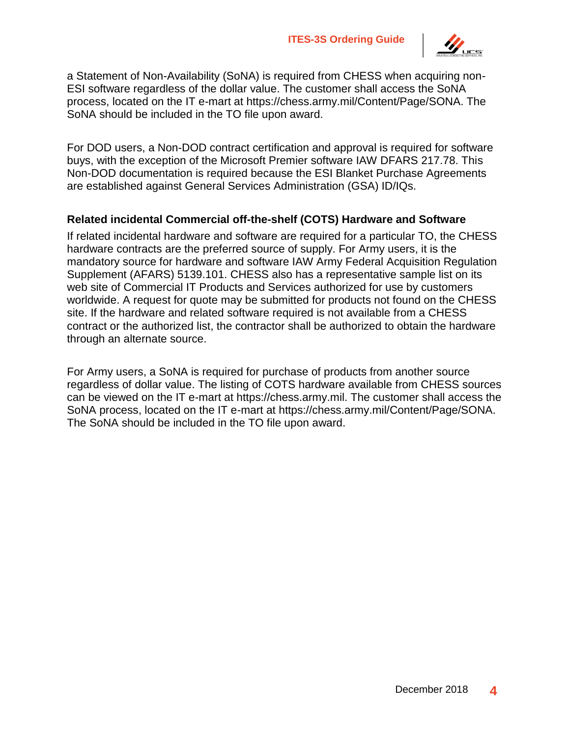

a Statement of Non-Availability (SoNA) is required from CHESS when acquiring non-ESI software regardless of the dollar value. The customer shall access the SoNA process, located on the IT e-mart at https://chess.army.mil/Content/Page/SONA. The SoNA should be included in the TO file upon award.

For DOD users, a Non-DOD contract certification and approval is required for software buys, with the exception of the Microsoft Premier software IAW DFARS 217.78. This Non-DOD documentation is required because the ESI Blanket Purchase Agreements are established against General Services Administration (GSA) ID/IQs.

#### **Related incidental Commercial off-the-shelf (COTS) Hardware and Software**

If related incidental hardware and software are required for a particular TO, the CHESS hardware contracts are the preferred source of supply. For Army users, it is the mandatory source for hardware and software IAW Army Federal Acquisition Regulation Supplement (AFARS) 5139.101. CHESS also has a representative sample list on its web site of Commercial IT Products and Services authorized for use by customers worldwide. A request for quote may be submitted for products not found on the CHESS site. If the hardware and related software required is not available from a CHESS contract or the authorized list, the contractor shall be authorized to obtain the hardware through an alternate source.

For Army users, a SoNA is required for purchase of products from another source regardless of dollar value. The listing of COTS hardware available from CHESS sources can be viewed on the IT e-mart at https://chess.army.mil. The customer shall access the SoNA process, located on the IT e-mart at https://chess.army.mil/Content/Page/SONA. The SoNA should be included in the TO file upon award.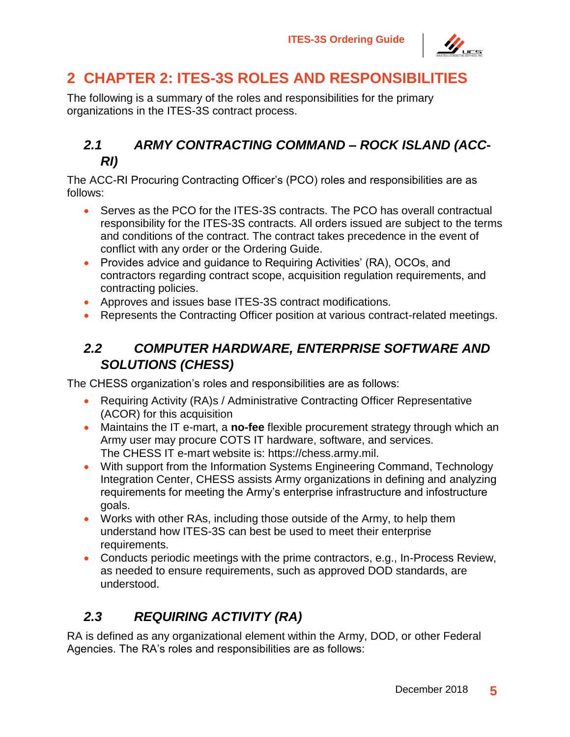

# <span id="page-8-0"></span>**2 CHAPTER 2: ITES-3S ROLES AND RESPONSIBILITIES**

The following is a summary of the roles and responsibilities for the primary organizations in the ITES-3S contract process.

### <span id="page-8-1"></span>*2.1 ARMY CONTRACTING COMMAND – ROCK ISLAND (ACC-RI)*

The ACC-RI Procuring Contracting Officer's (PCO) roles and responsibilities are as follows:

- Serves as the PCO for the ITES-3S contracts. The PCO has overall contractual responsibility for the ITES-3S contracts. All orders issued are subject to the terms and conditions of the contract. The contract takes precedence in the event of conflict with any order or the Ordering Guide.
- Provides advice and guidance to Requiring Activities' (RA), OCOs, and contractors regarding contract scope, acquisition regulation requirements, and contracting policies.
- Approves and issues base ITES-3S contract modifications.
- Represents the Contracting Officer position at various contract-related meetings.

## <span id="page-8-2"></span>*2.2 COMPUTER HARDWARE, ENTERPRISE SOFTWARE AND SOLUTIONS (CHESS)*

The CHESS organization's roles and responsibilities are as follows:

- Requiring Activity (RA)s / Administrative Contracting Officer Representative (ACOR) for this acquisition
- Maintains the IT e-mart, a **no-fee** flexible procurement strategy through which an Army user may procure COTS IT hardware, software, and services. The CHESS IT e-mart website is: https://chess.army.mil.
- With support from the Information Systems Engineering Command, Technology Integration Center, CHESS assists Army organizations in defining and analyzing requirements for meeting the Army's enterprise infrastructure and infostructure goals.
- Works with other RAs, including those outside of the Army, to help them understand how ITES-3S can best be used to meet their enterprise requirements.
- Conducts periodic meetings with the prime contractors, e.g., In-Process Review, as needed to ensure requirements, such as approved DOD standards, are understood.

# <span id="page-8-3"></span>*2.3 REQUIRING ACTIVITY (RA)*

RA is defined as any organizational element within the Army, DOD, or other Federal Agencies. The RA's roles and responsibilities are as follows: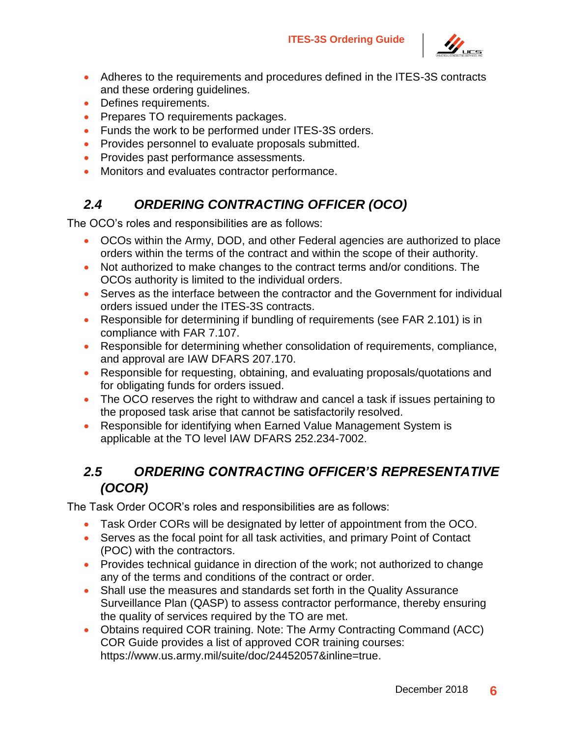

- Adheres to the requirements and procedures defined in the ITES-3S contracts and these ordering guidelines.
- Defines requirements.
- Prepares TO requirements packages.
- Funds the work to be performed under ITES-3S orders.
- Provides personnel to evaluate proposals submitted.
- Provides past performance assessments.
- Monitors and evaluates contractor performance.

## <span id="page-9-0"></span>*2.4 ORDERING CONTRACTING OFFICER (OCO)*

The OCO's roles and responsibilities are as follows:

- OCOs within the Army, DOD, and other Federal agencies are authorized to place orders within the terms of the contract and within the scope of their authority.
- Not authorized to make changes to the contract terms and/or conditions. The OCOs authority is limited to the individual orders.
- Serves as the interface between the contractor and the Government for individual orders issued under the ITES-3S contracts.
- Responsible for determining if bundling of requirements (see FAR 2.101) is in compliance with FAR 7.107.
- Responsible for determining whether consolidation of requirements, compliance, and approval are IAW DFARS 207.170.
- Responsible for requesting, obtaining, and evaluating proposals/quotations and for obligating funds for orders issued.
- The OCO reserves the right to withdraw and cancel a task if issues pertaining to the proposed task arise that cannot be satisfactorily resolved.
- Responsible for identifying when Earned Value Management System is applicable at the TO level IAW DFARS 252.234-7002.

## <span id="page-9-1"></span>*2.5 ORDERING CONTRACTING OFFICER'S REPRESENTATIVE (OCOR)*

The Task Order OCOR's roles and responsibilities are as follows:

- Task Order CORs will be designated by letter of appointment from the OCO.
- Serves as the focal point for all task activities, and primary Point of Contact (POC) with the contractors.
- Provides technical quidance in direction of the work; not authorized to change any of the terms and conditions of the contract or order.
- Shall use the measures and standards set forth in the Quality Assurance Surveillance Plan (QASP) to assess contractor performance, thereby ensuring the quality of services required by the TO are met.
- Obtains required COR training. Note: The Army Contracting Command (ACC) COR Guide provides a list of approved COR training courses: https://www.us.army.mil/suite/doc/24452057&inline=true.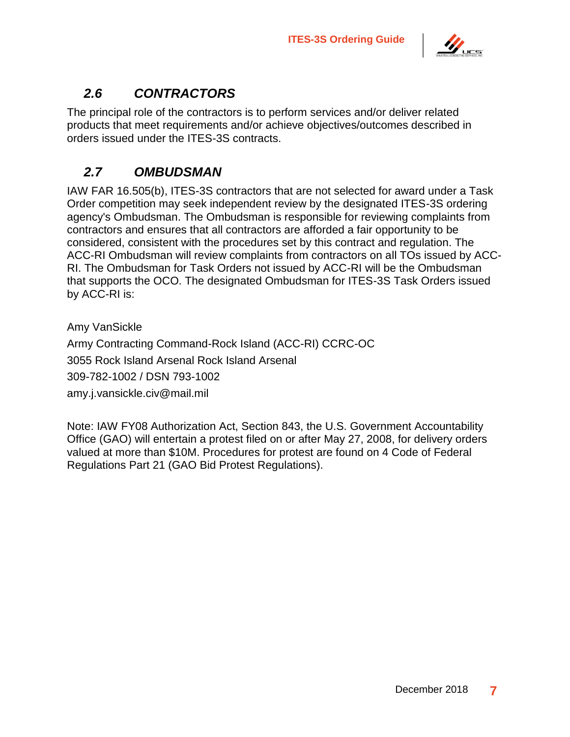

## <span id="page-10-0"></span>*2.6 CONTRACTORS*

The principal role of the contractors is to perform services and/or deliver related products that meet requirements and/or achieve objectives/outcomes described in orders issued under the ITES-3S contracts.

### <span id="page-10-1"></span>*2.7 OMBUDSMAN*

IAW FAR 16.505(b), ITES-3S contractors that are not selected for award under a Task Order competition may seek independent review by the designated ITES-3S ordering agency's Ombudsman. The Ombudsman is responsible for reviewing complaints from contractors and ensures that all contractors are afforded a fair opportunity to be considered, consistent with the procedures set by this contract and regulation. The ACC-RI Ombudsman will review complaints from contractors on all TOs issued by ACC-RI. The Ombudsman for Task Orders not issued by ACC-RI will be the Ombudsman that supports the OCO. The designated Ombudsman for ITES-3S Task Orders issued by ACC-RI is:

Amy VanSickle

Army Contracting Command-Rock Island (ACC-RI) CCRC-OC 3055 Rock Island Arsenal Rock Island Arsenal 309-782-1002 / DSN 793-1002 amy.j.vansickle.civ@mail.mil

Note: IAW FY08 Authorization Act, Section 843, the U.S. Government Accountability Office (GAO) will entertain a protest filed on or after May 27, 2008, for delivery orders valued at more than \$10M. Procedures for protest are found on 4 Code of Federal Regulations Part 21 (GAO Bid Protest Regulations).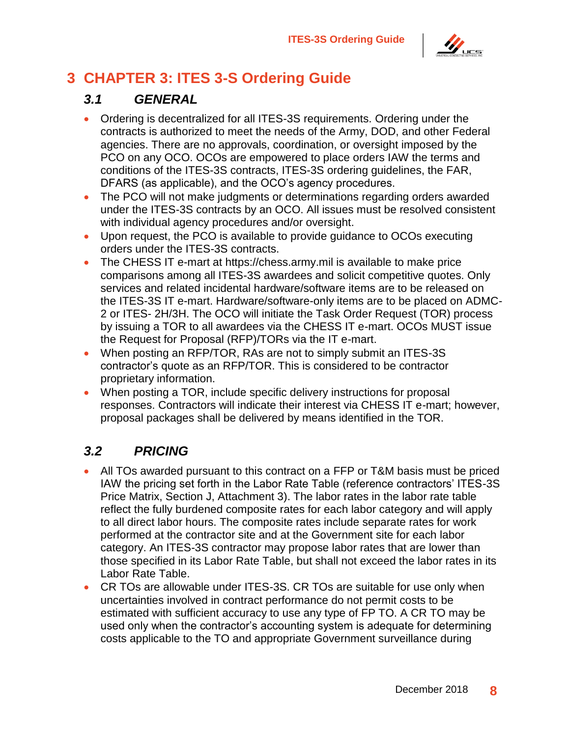

# <span id="page-11-0"></span>**3 CHAPTER 3: ITES 3-S Ordering Guide**

### <span id="page-11-1"></span>*3.1 GENERAL*

- Ordering is decentralized for all ITES-3S requirements. Ordering under the contracts is authorized to meet the needs of the Army, DOD, and other Federal agencies. There are no approvals, coordination, or oversight imposed by the PCO on any OCO. OCOs are empowered to place orders IAW the terms and conditions of the ITES-3S contracts, ITES-3S ordering guidelines, the FAR, DFARS (as applicable), and the OCO's agency procedures.
- The PCO will not make judgments or determinations regarding orders awarded under the ITES-3S contracts by an OCO. All issues must be resolved consistent with individual agency procedures and/or oversight.
- Upon request, the PCO is available to provide guidance to OCOs executing orders under the ITES-3S contracts.
- The CHESS IT e-mart at https://chess.army.mil is available to make price comparisons among all ITES-3S awardees and solicit competitive quotes. Only services and related incidental hardware/software items are to be released on the ITES-3S IT e-mart. Hardware/software-only items are to be placed on ADMC-2 or ITES- 2H/3H. The OCO will initiate the Task Order Request (TOR) process by issuing a TOR to all awardees via the CHESS IT e-mart. OCOs MUST issue the Request for Proposal (RFP)/TORs via the IT e-mart.
- When posting an RFP/TOR, RAs are not to simply submit an ITES-3S contractor's quote as an RFP/TOR. This is considered to be contractor proprietary information.
- When posting a TOR, include specific delivery instructions for proposal responses. Contractors will indicate their interest via CHESS IT e-mart; however, proposal packages shall be delivered by means identified in the TOR.

### <span id="page-11-2"></span>*3.2 PRICING*

- All TOs awarded pursuant to this contract on a FFP or T&M basis must be priced IAW the pricing set forth in the Labor Rate Table (reference contractors' ITES-3S Price Matrix, Section J, Attachment 3). The labor rates in the labor rate table reflect the fully burdened composite rates for each labor category and will apply to all direct labor hours. The composite rates include separate rates for work performed at the contractor site and at the Government site for each labor category. An ITES-3S contractor may propose labor rates that are lower than those specified in its Labor Rate Table, but shall not exceed the labor rates in its Labor Rate Table.
- CR TOs are allowable under ITES-3S. CR TOs are suitable for use only when uncertainties involved in contract performance do not permit costs to be estimated with sufficient accuracy to use any type of FP TO. A CR TO may be used only when the contractor's accounting system is adequate for determining costs applicable to the TO and appropriate Government surveillance during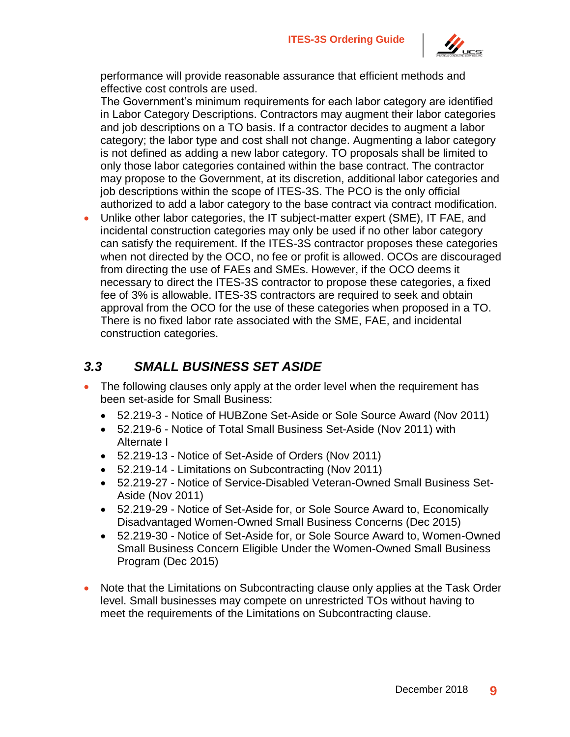

performance will provide reasonable assurance that efficient methods and effective cost controls are used.

The Government's minimum requirements for each labor category are identified in Labor Category Descriptions. Contractors may augment their labor categories and job descriptions on a TO basis. If a contractor decides to augment a labor category; the labor type and cost shall not change. Augmenting a labor category is not defined as adding a new labor category. TO proposals shall be limited to only those labor categories contained within the base contract. The contractor may propose to the Government, at its discretion, additional labor categories and job descriptions within the scope of ITES-3S. The PCO is the only official authorized to add a labor category to the base contract via contract modification.

• Unlike other labor categories, the IT subject-matter expert (SME), IT FAE, and incidental construction categories may only be used if no other labor category can satisfy the requirement. If the ITES-3S contractor proposes these categories when not directed by the OCO, no fee or profit is allowed. OCOs are discouraged from directing the use of FAEs and SMEs. However, if the OCO deems it necessary to direct the ITES-3S contractor to propose these categories, a fixed fee of 3% is allowable. ITES-3S contractors are required to seek and obtain approval from the OCO for the use of these categories when proposed in a TO. There is no fixed labor rate associated with the SME, FAE, and incidental construction categories.

#### <span id="page-12-0"></span>*3.3 SMALL BUSINESS SET ASIDE*

- The following clauses only apply at the order level when the requirement has been set-aside for Small Business:
	- 52.219-3 Notice of HUBZone Set-Aside or Sole Source Award (Nov 2011)
	- 52.219-6 Notice of Total Small Business Set-Aside (Nov 2011) with Alternate I
	- 52.219-13 Notice of Set-Aside of Orders (Nov 2011)
	- 52.219-14 Limitations on Subcontracting (Nov 2011)
	- 52.219-27 Notice of Service-Disabled Veteran-Owned Small Business Set-Aside (Nov 2011)
	- 52.219-29 Notice of Set-Aside for, or Sole Source Award to, Economically Disadvantaged Women-Owned Small Business Concerns (Dec 2015)
	- 52.219-30 Notice of Set-Aside for, or Sole Source Award to, Women-Owned Small Business Concern Eligible Under the Women-Owned Small Business Program (Dec 2015)
- Note that the Limitations on Subcontracting clause only applies at the Task Order level. Small businesses may compete on unrestricted TOs without having to meet the requirements of the Limitations on Subcontracting clause.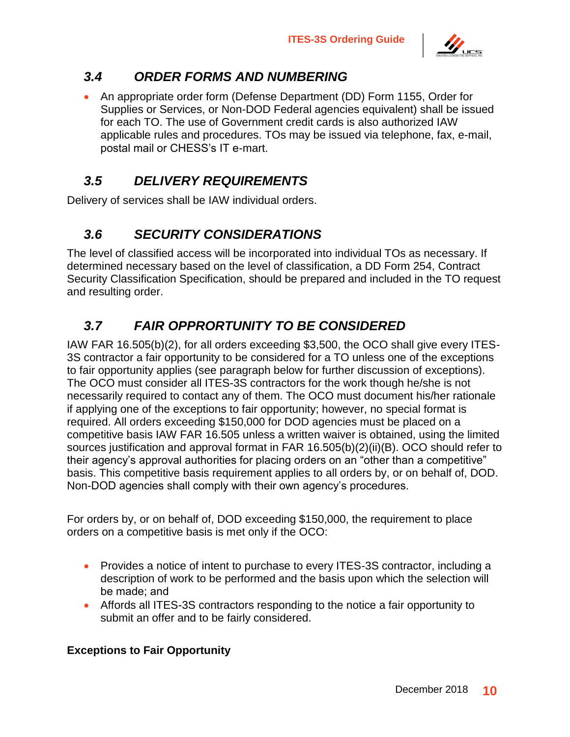

### <span id="page-13-0"></span>*3.4 ORDER FORMS AND NUMBERING*

• An appropriate order form (Defense Department (DD) Form 1155, Order for Supplies or Services, or Non-DOD Federal agencies equivalent) shall be issued for each TO. The use of Government credit cards is also authorized IAW applicable rules and procedures. TOs may be issued via telephone, fax, e-mail, postal mail or CHESS's IT e-mart.

### <span id="page-13-1"></span>*3.5 DELIVERY REQUIREMENTS*

Delivery of services shall be IAW individual orders.

## <span id="page-13-2"></span>*3.6 SECURITY CONSIDERATIONS*

The level of classified access will be incorporated into individual TOs as necessary. If determined necessary based on the level of classification, a DD Form 254, Contract Security Classification Specification, should be prepared and included in the TO request and resulting order.

## <span id="page-13-3"></span>*3.7 FAIR OPPRORTUNITY TO BE CONSIDERED*

IAW FAR 16.505(b)(2), for all orders exceeding \$3,500, the OCO shall give every ITES-3S contractor a fair opportunity to be considered for a TO unless one of the exceptions to fair opportunity applies (see paragraph below for further discussion of exceptions). The OCO must consider all ITES-3S contractors for the work though he/she is not necessarily required to contact any of them. The OCO must document his/her rationale if applying one of the exceptions to fair opportunity; however, no special format is required. All orders exceeding \$150,000 for DOD agencies must be placed on a competitive basis IAW FAR 16.505 unless a written waiver is obtained, using the limited sources justification and approval format in FAR 16.505(b)(2)(ii)(B). OCO should refer to their agency's approval authorities for placing orders on an "other than a competitive" basis. This competitive basis requirement applies to all orders by, or on behalf of, DOD. Non-DOD agencies shall comply with their own agency's procedures.

For orders by, or on behalf of, DOD exceeding \$150,000, the requirement to place orders on a competitive basis is met only if the OCO:

- Provides a notice of intent to purchase to every ITES-3S contractor, including a description of work to be performed and the basis upon which the selection will be made; and
- Affords all ITES-3S contractors responding to the notice a fair opportunity to submit an offer and to be fairly considered.

#### **Exceptions to Fair Opportunity**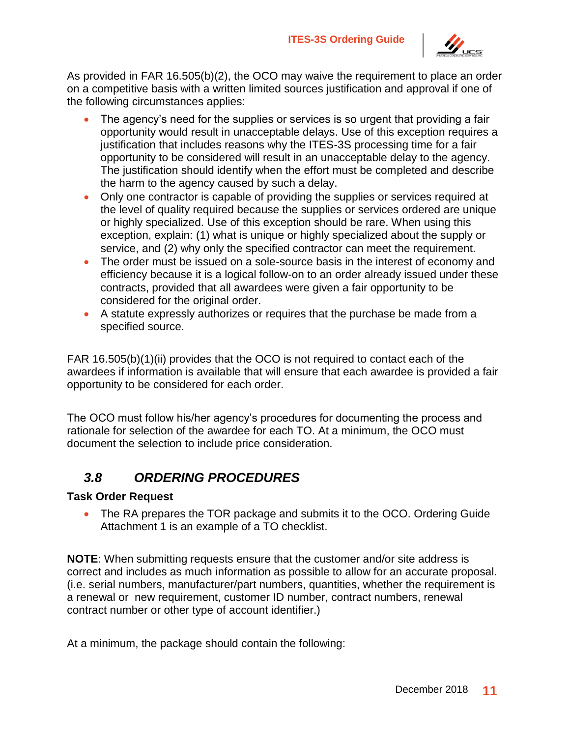

As provided in FAR 16.505(b)(2), the OCO may waive the requirement to place an order on a competitive basis with a written limited sources justification and approval if one of the following circumstances applies:

- The agency's need for the supplies or services is so urgent that providing a fair opportunity would result in unacceptable delays. Use of this exception requires a justification that includes reasons why the ITES-3S processing time for a fair opportunity to be considered will result in an unacceptable delay to the agency. The justification should identify when the effort must be completed and describe the harm to the agency caused by such a delay.
- Only one contractor is capable of providing the supplies or services required at the level of quality required because the supplies or services ordered are unique or highly specialized. Use of this exception should be rare. When using this exception, explain: (1) what is unique or highly specialized about the supply or service, and (2) why only the specified contractor can meet the requirement.
- The order must be issued on a sole-source basis in the interest of economy and efficiency because it is a logical follow-on to an order already issued under these contracts, provided that all awardees were given a fair opportunity to be considered for the original order.
- A statute expressly authorizes or requires that the purchase be made from a specified source.

FAR 16.505(b)(1)(ii) provides that the OCO is not required to contact each of the awardees if information is available that will ensure that each awardee is provided a fair opportunity to be considered for each order.

The OCO must follow his/her agency's procedures for documenting the process and rationale for selection of the awardee for each TO. At a minimum, the OCO must document the selection to include price consideration.

### <span id="page-14-0"></span>*3.8 ORDERING PROCEDURES*

#### **Task Order Request**

• The RA prepares the TOR package and submits it to the OCO. Ordering Guide Attachment 1 is an example of a TO checklist.

**NOTE**: When submitting requests ensure that the customer and/or site address is correct and includes as much information as possible to allow for an accurate proposal. (i.e. serial numbers, manufacturer/part numbers, quantities, whether the requirement is a renewal or new requirement, customer ID number, contract numbers, renewal contract number or other type of account identifier.)

At a minimum, the package should contain the following: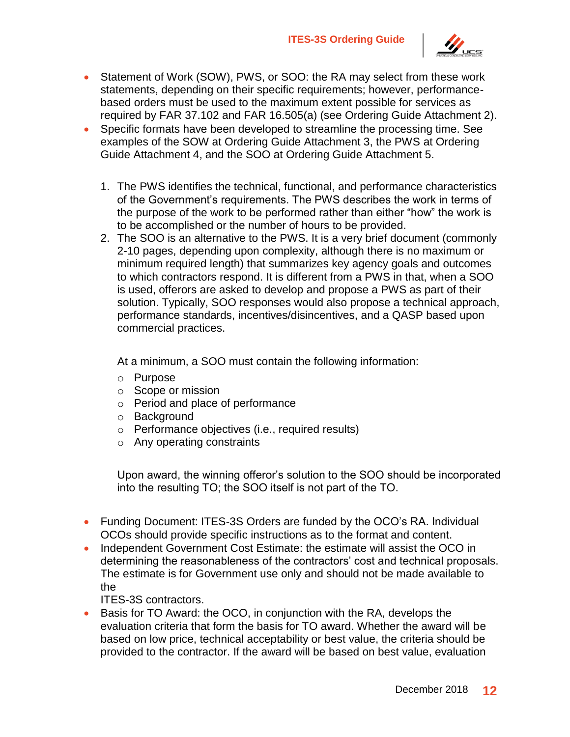

- Statement of Work (SOW), PWS, or SOO: the RA may select from these work statements, depending on their specific requirements; however, performancebased orders must be used to the maximum extent possible for services as required by FAR 37.102 and FAR 16.505(a) (see Ordering Guide Attachment 2).
- Specific formats have been developed to streamline the processing time. See examples of the SOW at Ordering Guide Attachment 3, the PWS at Ordering Guide Attachment 4, and the SOO at Ordering Guide Attachment 5.
	- 1. The PWS identifies the technical, functional, and performance characteristics of the Government's requirements. The PWS describes the work in terms of the purpose of the work to be performed rather than either "how" the work is to be accomplished or the number of hours to be provided.
	- 2. The SOO is an alternative to the PWS. It is a very brief document (commonly 2-10 pages, depending upon complexity, although there is no maximum or minimum required length) that summarizes key agency goals and outcomes to which contractors respond. It is different from a PWS in that, when a SOO is used, offerors are asked to develop and propose a PWS as part of their solution. Typically, SOO responses would also propose a technical approach, performance standards, incentives/disincentives, and a QASP based upon commercial practices.

At a minimum, a SOO must contain the following information:

- o Purpose
- o Scope or mission
- o Period and place of performance
- o Background
- o Performance objectives (i.e., required results)
- o Any operating constraints

Upon award, the winning offeror's solution to the SOO should be incorporated into the resulting TO; the SOO itself is not part of the TO.

- Funding Document: ITES-3S Orders are funded by the OCO's RA. Individual OCOs should provide specific instructions as to the format and content.
- Independent Government Cost Estimate: the estimate will assist the OCO in determining the reasonableness of the contractors' cost and technical proposals. The estimate is for Government use only and should not be made available to the
	- ITES-3S contractors.
- Basis for TO Award: the OCO, in conjunction with the RA, develops the evaluation criteria that form the basis for TO award. Whether the award will be based on low price, technical acceptability or best value, the criteria should be provided to the contractor. If the award will be based on best value, evaluation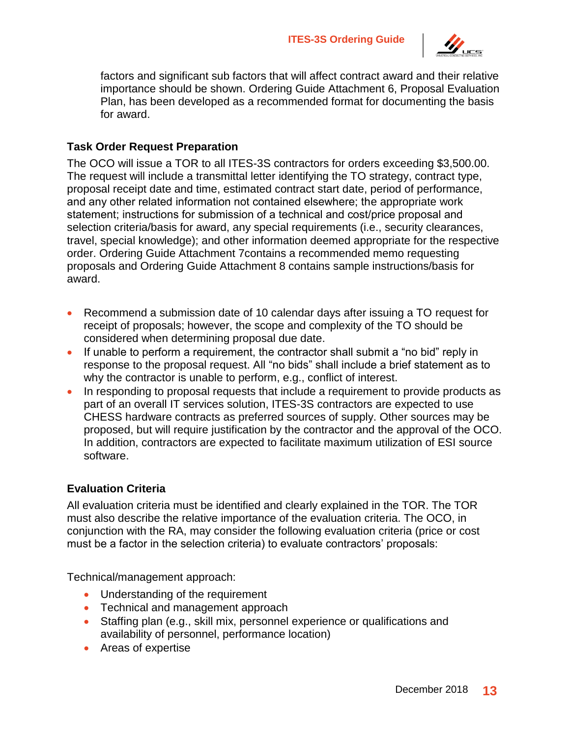

factors and significant sub factors that will affect contract award and their relative importance should be shown. Ordering Guide Attachment 6, Proposal Evaluation Plan, has been developed as a recommended format for documenting the basis for award.

#### **Task Order Request Preparation**

The OCO will issue a TOR to all ITES-3S contractors for orders exceeding \$3,500.00. The request will include a transmittal letter identifying the TO strategy, contract type, proposal receipt date and time, estimated contract start date, period of performance, and any other related information not contained elsewhere; the appropriate work statement; instructions for submission of a technical and cost/price proposal and selection criteria/basis for award, any special requirements (i.e., security clearances, travel, special knowledge); and other information deemed appropriate for the respective order. Ordering Guide Attachment 7contains a recommended memo requesting proposals and Ordering Guide Attachment 8 contains sample instructions/basis for award.

- Recommend a submission date of 10 calendar days after issuing a TO request for receipt of proposals; however, the scope and complexity of the TO should be considered when determining proposal due date.
- If unable to perform a requirement, the contractor shall submit a "no bid" reply in response to the proposal request. All "no bids" shall include a brief statement as to why the contractor is unable to perform, e.g., conflict of interest.
- In responding to proposal requests that include a requirement to provide products as part of an overall IT services solution, ITES-3S contractors are expected to use CHESS hardware contracts as preferred sources of supply. Other sources may be proposed, but will require justification by the contractor and the approval of the OCO. In addition, contractors are expected to facilitate maximum utilization of ESI source software.

#### **Evaluation Criteria**

All evaluation criteria must be identified and clearly explained in the TOR. The TOR must also describe the relative importance of the evaluation criteria. The OCO, in conjunction with the RA, may consider the following evaluation criteria (price or cost must be a factor in the selection criteria) to evaluate contractors' proposals:

Technical/management approach:

- Understanding of the requirement
- Technical and management approach
- Staffing plan (e.g., skill mix, personnel experience or qualifications and availability of personnel, performance location)
- Areas of expertise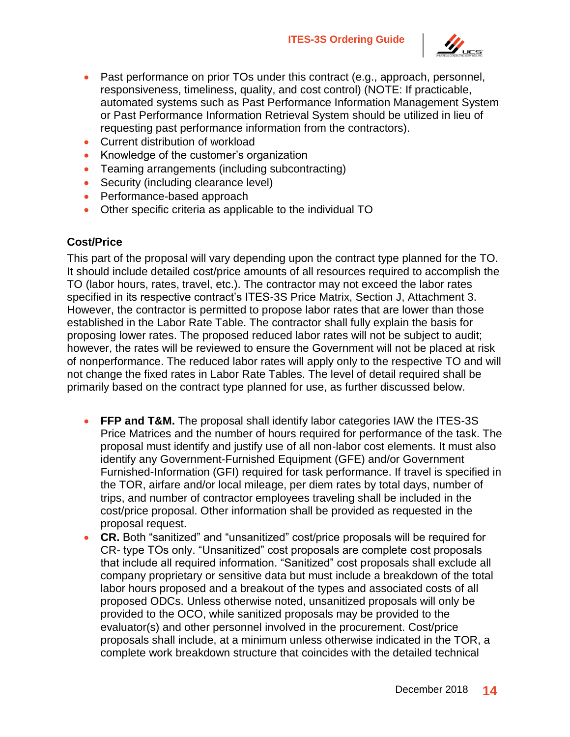

- Past performance on prior TOs under this contract (e.g., approach, personnel, responsiveness, timeliness, quality, and cost control) (NOTE: If practicable, automated systems such as Past Performance Information Management System or Past Performance Information Retrieval System should be utilized in lieu of requesting past performance information from the contractors).
- Current distribution of workload
- Knowledge of the customer's organization
- Teaming arrangements (including subcontracting)
- Security (including clearance level)
- Performance-based approach
- Other specific criteria as applicable to the individual TO

#### **Cost/Price**

This part of the proposal will vary depending upon the contract type planned for the TO. It should include detailed cost/price amounts of all resources required to accomplish the TO (labor hours, rates, travel, etc.). The contractor may not exceed the labor rates specified in its respective contract's ITES-3S Price Matrix, Section J, Attachment 3. However, the contractor is permitted to propose labor rates that are lower than those established in the Labor Rate Table. The contractor shall fully explain the basis for proposing lower rates. The proposed reduced labor rates will not be subject to audit; however, the rates will be reviewed to ensure the Government will not be placed at risk of nonperformance. The reduced labor rates will apply only to the respective TO and will not change the fixed rates in Labor Rate Tables. The level of detail required shall be primarily based on the contract type planned for use, as further discussed below.

- **FFP and T&M.** The proposal shall identify labor categories IAW the ITES-3S Price Matrices and the number of hours required for performance of the task. The proposal must identify and justify use of all non-labor cost elements. It must also identify any Government-Furnished Equipment (GFE) and/or Government Furnished-Information (GFI) required for task performance. If travel is specified in the TOR, airfare and/or local mileage, per diem rates by total days, number of trips, and number of contractor employees traveling shall be included in the cost/price proposal. Other information shall be provided as requested in the proposal request.
- **CR.** Both "sanitized" and "unsanitized" cost/price proposals will be required for CR- type TOs only. "Unsanitized" cost proposals are complete cost proposals that include all required information. "Sanitized" cost proposals shall exclude all company proprietary or sensitive data but must include a breakdown of the total labor hours proposed and a breakout of the types and associated costs of all proposed ODCs. Unless otherwise noted, unsanitized proposals will only be provided to the OCO, while sanitized proposals may be provided to the evaluator(s) and other personnel involved in the procurement. Cost/price proposals shall include, at a minimum unless otherwise indicated in the TOR, a complete work breakdown structure that coincides with the detailed technical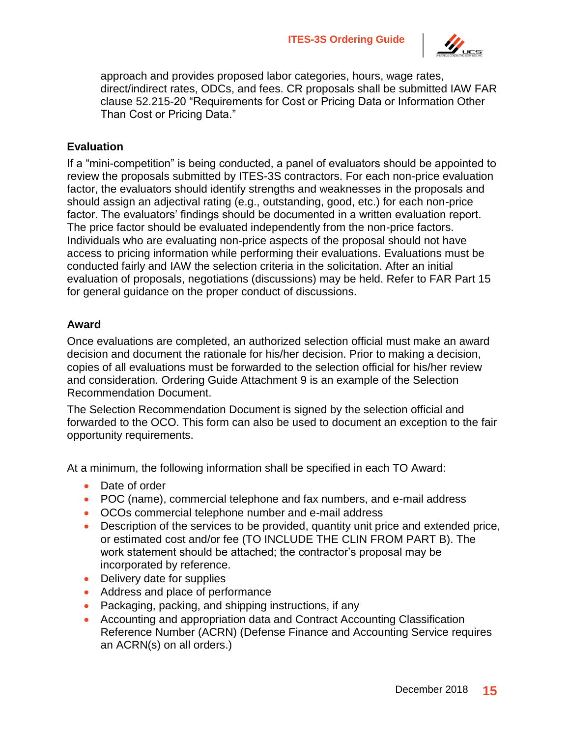

approach and provides proposed labor categories, hours, wage rates, direct/indirect rates, ODCs, and fees. CR proposals shall be submitted IAW FAR clause 52.215-20 "Requirements for Cost or Pricing Data or Information Other Than Cost or Pricing Data."

#### **Evaluation**

If a "mini-competition" is being conducted, a panel of evaluators should be appointed to review the proposals submitted by ITES-3S contractors. For each non-price evaluation factor, the evaluators should identify strengths and weaknesses in the proposals and should assign an adjectival rating (e.g., outstanding, good, etc.) for each non-price factor. The evaluators' findings should be documented in a written evaluation report. The price factor should be evaluated independently from the non-price factors. Individuals who are evaluating non-price aspects of the proposal should not have access to pricing information while performing their evaluations. Evaluations must be conducted fairly and IAW the selection criteria in the solicitation. After an initial evaluation of proposals, negotiations (discussions) may be held. Refer to FAR Part 15 for general guidance on the proper conduct of discussions.

#### **Award**

Once evaluations are completed, an authorized selection official must make an award decision and document the rationale for his/her decision. Prior to making a decision, copies of all evaluations must be forwarded to the selection official for his/her review and consideration. Ordering Guide Attachment 9 is an example of the Selection Recommendation Document.

The Selection Recommendation Document is signed by the selection official and forwarded to the OCO. This form can also be used to document an exception to the fair opportunity requirements.

At a minimum, the following information shall be specified in each TO Award:

- Date of order
- POC (name), commercial telephone and fax numbers, and e-mail address
- OCOs commercial telephone number and e-mail address
- Description of the services to be provided, quantity unit price and extended price, or estimated cost and/or fee (TO INCLUDE THE CLIN FROM PART B). The work statement should be attached; the contractor's proposal may be incorporated by reference.
- Delivery date for supplies
- Address and place of performance
- Packaging, packing, and shipping instructions, if any
- Accounting and appropriation data and Contract Accounting Classification Reference Number (ACRN) (Defense Finance and Accounting Service requires an ACRN(s) on all orders.)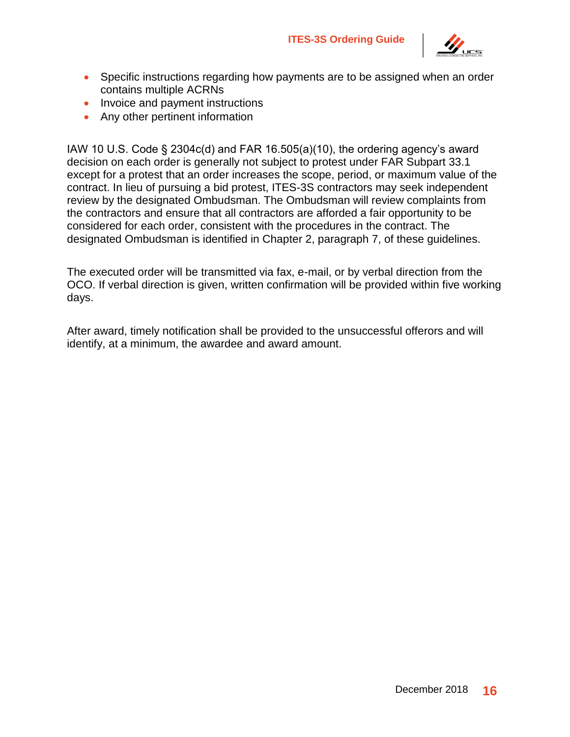

- Specific instructions regarding how payments are to be assigned when an order contains multiple ACRNs
- Invoice and payment instructions
- Any other pertinent information

IAW 10 U.S. Code § 2304c(d) and FAR 16.505(a)(10), the ordering agency's award decision on each order is generally not subject to protest under FAR Subpart 33.1 except for a protest that an order increases the scope, period, or maximum value of the contract. In lieu of pursuing a bid protest, ITES-3S contractors may seek independent review by the designated Ombudsman. The Ombudsman will review complaints from the contractors and ensure that all contractors are afforded a fair opportunity to be considered for each order, consistent with the procedures in the contract. The designated Ombudsman is identified in Chapter 2, paragraph 7, of these guidelines.

The executed order will be transmitted via fax, e-mail, or by verbal direction from the OCO. If verbal direction is given, written confirmation will be provided within five working days.

After award, timely notification shall be provided to the unsuccessful offerors and will identify, at a minimum, the awardee and award amount.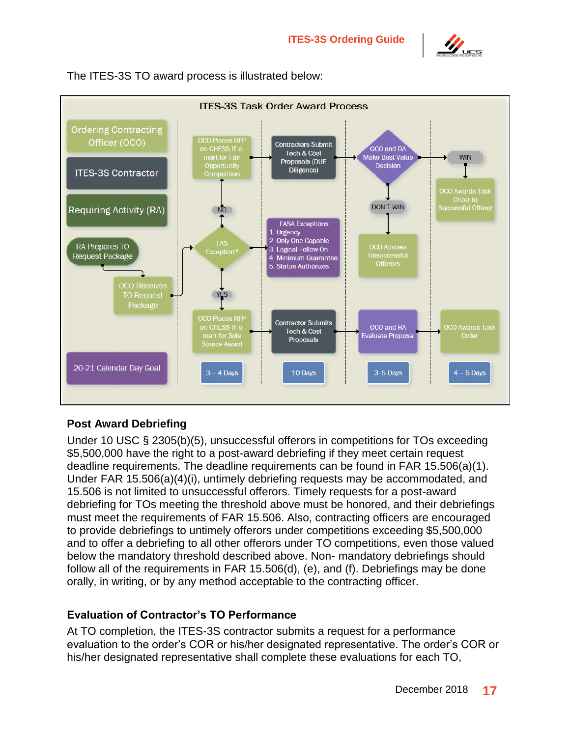



The ITES-3S TO award process is illustrated below:

#### **Post Award Debriefing**

Under 10 USC § 2305(b)(5), unsuccessful offerors in competitions for TOs exceeding \$5,500,000 have the right to a post-award debriefing if they meet certain request deadline requirements. The deadline requirements can be found in FAR 15.506(a)(1). Under FAR 15.506(a)(4)(i), untimely debriefing requests may be accommodated, and 15.506 is not limited to unsuccessful offerors. Timely requests for a post-award debriefing for TOs meeting the threshold above must be honored, and their debriefings must meet the requirements of FAR 15.506. Also, contracting officers are encouraged to provide debriefings to untimely offerors under competitions exceeding \$5,500,000 and to offer a debriefing to all other offerors under TO competitions, even those valued below the mandatory threshold described above. Non- mandatory debriefings should follow all of the requirements in FAR 15.506(d), (e), and (f). Debriefings may be done orally, in writing, or by any method acceptable to the contracting officer.

#### **Evaluation of Contractor's TO Performance**

At TO completion, the ITES-3S contractor submits a request for a performance evaluation to the order's COR or his/her designated representative. The order's COR or his/her designated representative shall complete these evaluations for each TO,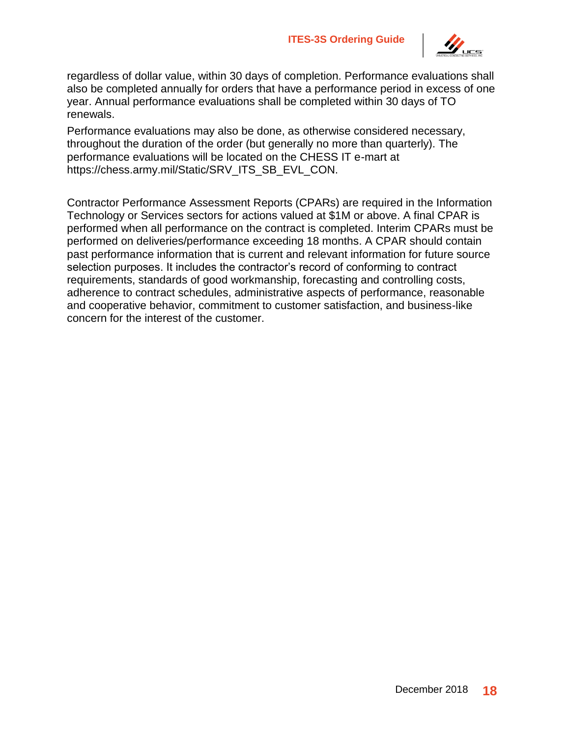

regardless of dollar value, within 30 days of completion. Performance evaluations shall also be completed annually for orders that have a performance period in excess of one year. Annual performance evaluations shall be completed within 30 days of TO renewals.

Performance evaluations may also be done, as otherwise considered necessary, throughout the duration of the order (but generally no more than quarterly). The performance evaluations will be located on the CHESS IT e-mart at https://chess.army.mil/Static/SRV\_ITS\_SB\_EVL\_CON.

Contractor Performance Assessment Reports (CPARs) are required in the Information Technology or Services sectors for actions valued at \$1M or above. A final CPAR is performed when all performance on the contract is completed. Interim CPARs must be performed on deliveries/performance exceeding 18 months. A CPAR should contain past performance information that is current and relevant information for future source selection purposes. It includes the contractor's record of conforming to contract requirements, standards of good workmanship, forecasting and controlling costs, adherence to contract schedules, administrative aspects of performance, reasonable and cooperative behavior, commitment to customer satisfaction, and business-like concern for the interest of the customer.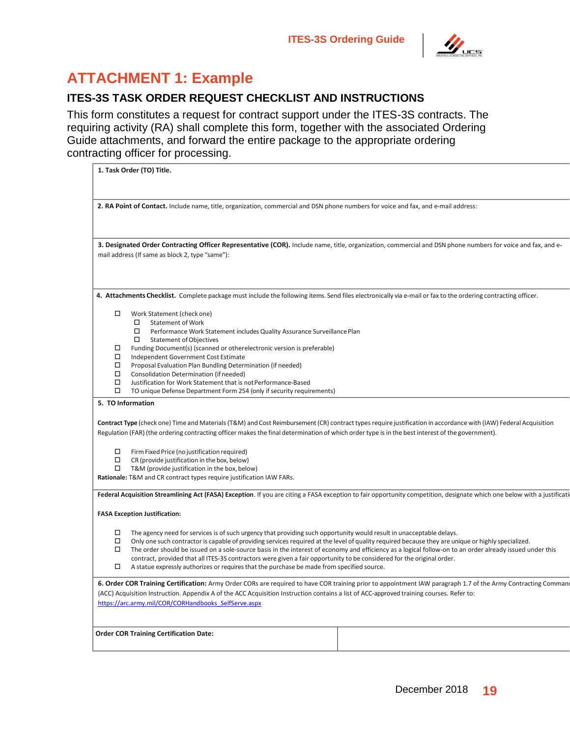

# <span id="page-22-0"></span>**ATTACHMENT 1: Example**

#### **ITES-3S TASK ORDER REQUEST CHECKLIST AND INSTRUCTIONS**

This form constitutes a request for contract support under the ITES-3S contracts. The requiring activity (RA) shall complete this form, together with the associated Ordering Guide attachments, and forward the entire package to the appropriate ordering contracting officer for processing.

| 1. Task Order (TO) Title.                                                                                                                                                                                                                                                                                                                                                                                                                                                                                                                                                                                                                                                          |  |  |
|------------------------------------------------------------------------------------------------------------------------------------------------------------------------------------------------------------------------------------------------------------------------------------------------------------------------------------------------------------------------------------------------------------------------------------------------------------------------------------------------------------------------------------------------------------------------------------------------------------------------------------------------------------------------------------|--|--|
| 2. RA Point of Contact. Include name, title, organization, commercial and DSN phone numbers for voice and fax, and e-mail address:                                                                                                                                                                                                                                                                                                                                                                                                                                                                                                                                                 |  |  |
| 3. Designated Order Contracting Officer Representative (COR). Include name, title, organization, commercial and DSN phone numbers for voice and fax, and e-<br>mail address (If same as block 2, type "same"):                                                                                                                                                                                                                                                                                                                                                                                                                                                                     |  |  |
| 4. Attachments Checklist. Complete package must include the following items. Send files electronically via e-mail or fax to the ordering contracting officer.                                                                                                                                                                                                                                                                                                                                                                                                                                                                                                                      |  |  |
| Work Statement (check one)<br>□<br>□<br><b>Statement of Work</b><br>□<br>Performance Work Statement includes Quality Assurance Surveillance Plan<br>□<br><b>Statement of Objectives</b><br>Funding Document(s) (scanned or otherelectronic version is preferable)<br>$\Box$<br>□<br>Independent Government Cost Estimate<br>□<br>Proposal Evaluation Plan Bundling Determination (if needed)<br>□<br>Consolidation Determination (if needed)<br>□<br>Justification for Work Statement that is not Performance-Based<br>□<br>TO unique Defense Department Form 254 (only if security requirements)                                                                                  |  |  |
| 5. TO Information                                                                                                                                                                                                                                                                                                                                                                                                                                                                                                                                                                                                                                                                  |  |  |
| Contract Type (check one) Time and Materials (T&M) and Cost Reimbursement (CR) contract types require justification in accordance with (IAW) Federal Acquisition<br>Regulation (FAR) (the ordering contracting officer makes the final determination of which order type is in the best interest of the government).                                                                                                                                                                                                                                                                                                                                                               |  |  |
| □<br>Firm Fixed Price (no justification required)<br>□<br>CR (provide justification in the box, below)<br>□<br>T&M (provide justification in the box, below)<br>Rationale: T&M and CR contract types require justification IAW FARs.                                                                                                                                                                                                                                                                                                                                                                                                                                               |  |  |
| Federal Acquisition Streamlining Act (FASA) Exception. If you are citing a FASA exception to fair opportunity competition, designate which one below with a justificati                                                                                                                                                                                                                                                                                                                                                                                                                                                                                                            |  |  |
| <b>FASA Exception Justification:</b>                                                                                                                                                                                                                                                                                                                                                                                                                                                                                                                                                                                                                                               |  |  |
| The agency need for services is of such urgency that providing such opportunity would result in unacceptable delays.<br>□<br>□<br>Only one such contractor is capable of providing services required at the level of quality required because they are unique or highly specialized.<br>□<br>The order should be issued on a sole-source basis in the interest of economy and efficiency as a logical follow-on to an order already issued under this<br>contract, provided that all ITES-3S contractors were given a fair opportunity to be considered for the original order.<br>□<br>A statue expressly authorizes or requires that the purchase be made from specified source. |  |  |
| 6. Order COR Training Certification: Army Order CORs are required to have COR training prior to appointment IAW paragraph 1.7 of the Army Contracting Comman<br>(ACC) Acquisition Instruction. Appendix A of the ACC Acquisition Instruction contains a list of ACC-approved training courses. Refer to:<br>https://arc.army.mil/COR/CORHandbooks SelfServe.aspx                                                                                                                                                                                                                                                                                                                   |  |  |
| <b>Order COR Training Certification Date:</b>                                                                                                                                                                                                                                                                                                                                                                                                                                                                                                                                                                                                                                      |  |  |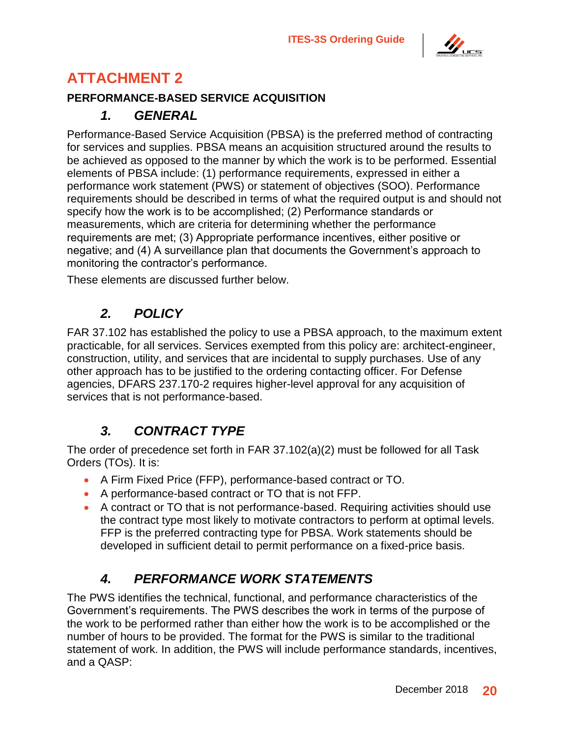

# <span id="page-23-0"></span>**ATTACHMENT 2**

#### <span id="page-23-1"></span>**PERFORMANCE-BASED SERVICE ACQUISITION**

### *1. GENERAL*

Performance-Based Service Acquisition (PBSA) is the preferred method of contracting for services and supplies. PBSA means an acquisition structured around the results to be achieved as opposed to the manner by which the work is to be performed. Essential elements of PBSA include: (1) performance requirements, expressed in either a performance work statement (PWS) or statement of objectives (SOO). Performance requirements should be described in terms of what the required output is and should not specify how the work is to be accomplished; (2) Performance standards or measurements, which are criteria for determining whether the performance requirements are met; (3) Appropriate performance incentives, either positive or negative; and (4) A surveillance plan that documents the Government's approach to monitoring the contractor's performance.

These elements are discussed further below.

## *2. POLICY*

<span id="page-23-2"></span>FAR 37.102 has established the policy to use a PBSA approach, to the maximum extent practicable, for all services. Services exempted from this policy are: architect-engineer, construction, utility, and services that are incidental to supply purchases. Use of any other approach has to be justified to the ordering contacting officer. For Defense agencies, DFARS 237.170-2 requires higher-level approval for any acquisition of services that is not performance-based.

## *3. CONTRACT TYPE*

<span id="page-23-3"></span>The order of precedence set forth in FAR 37.102(a)(2) must be followed for all Task Orders (TOs). It is:

- A Firm Fixed Price (FFP), performance-based contract or TO.
- A performance-based contract or TO that is not FFP.
- A contract or TO that is not performance-based. Requiring activities should use the contract type most likely to motivate contractors to perform at optimal levels. FFP is the preferred contracting type for PBSA. Work statements should be developed in sufficient detail to permit performance on a fixed-price basis.

## *4. PERFORMANCE WORK STATEMENTS*

<span id="page-23-4"></span>The PWS identifies the technical, functional, and performance characteristics of the Government's requirements. The PWS describes the work in terms of the purpose of the work to be performed rather than either how the work is to be accomplished or the number of hours to be provided. The format for the PWS is similar to the traditional statement of work. In addition, the PWS will include performance standards, incentives, and a QASP: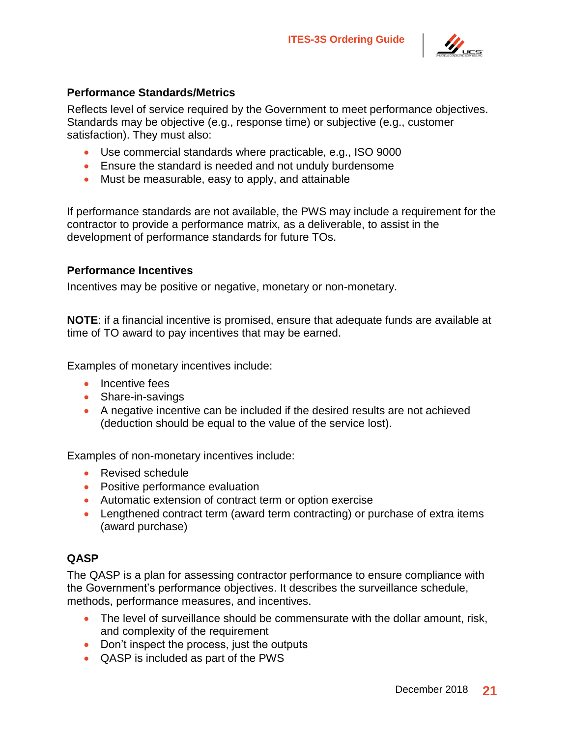

#### **Performance Standards/Metrics**

Reflects level of service required by the Government to meet performance objectives. Standards may be objective (e.g., response time) or subjective (e.g., customer satisfaction). They must also:

- Use commercial standards where practicable, e.g., ISO 9000
- Ensure the standard is needed and not unduly burdensome
- Must be measurable, easy to apply, and attainable

If performance standards are not available, the PWS may include a requirement for the contractor to provide a performance matrix, as a deliverable, to assist in the development of performance standards for future TOs.

#### **Performance Incentives**

Incentives may be positive or negative, monetary or non-monetary.

**NOTE**: if a financial incentive is promised, ensure that adequate funds are available at time of TO award to pay incentives that may be earned.

Examples of monetary incentives include:

- Incentive fees
- Share-in-savings
- A negative incentive can be included if the desired results are not achieved (deduction should be equal to the value of the service lost).

Examples of non-monetary incentives include:

- Revised schedule
- Positive performance evaluation
- Automatic extension of contract term or option exercise
- Lengthened contract term (award term contracting) or purchase of extra items (award purchase)

#### **QASP**

The QASP is a plan for assessing contractor performance to ensure compliance with the Government's performance objectives. It describes the surveillance schedule, methods, performance measures, and incentives.

- The level of surveillance should be commensurate with the dollar amount, risk, and complexity of the requirement
- Don't inspect the process, just the outputs
- QASP is included as part of the PWS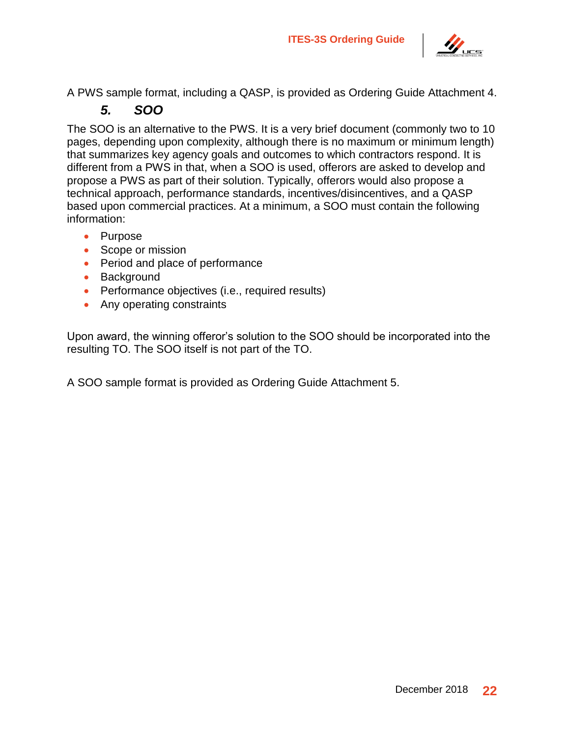

<span id="page-25-0"></span>A PWS sample format, including a QASP, is provided as Ordering Guide Attachment 4.

## *5. SOO*

The SOO is an alternative to the PWS. It is a very brief document (commonly two to 10 pages, depending upon complexity, although there is no maximum or minimum length) that summarizes key agency goals and outcomes to which contractors respond. It is different from a PWS in that, when a SOO is used, offerors are asked to develop and propose a PWS as part of their solution. Typically, offerors would also propose a technical approach, performance standards, incentives/disincentives, and a QASP based upon commercial practices. At a minimum, a SOO must contain the following information:

- Purpose
- Scope or mission
- Period and place of performance
- Background
- Performance objectives (i.e., required results)
- Any operating constraints

Upon award, the winning offeror's solution to the SOO should be incorporated into the resulting TO. The SOO itself is not part of the TO.

A SOO sample format is provided as Ordering Guide Attachment 5.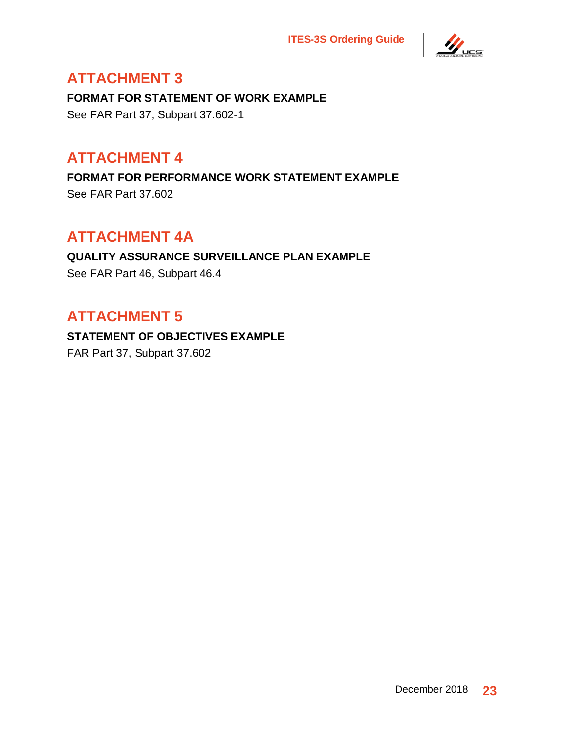

# <span id="page-26-0"></span>**ATTACHMENT 3**

**FORMAT FOR STATEMENT OF WORK EXAMPLE** See FAR Part 37, Subpart 37.602-1

# <span id="page-26-1"></span>**ATTACHMENT 4**

**FORMAT FOR PERFORMANCE WORK STATEMENT EXAMPLE** See FAR Part 37.602

# <span id="page-26-2"></span>**ATTACHMENT 4A**

### **QUALITY ASSURANCE SURVEILLANCE PLAN EXAMPLE** See FAR Part 46, Subpart 46.4

# <span id="page-26-3"></span>**ATTACHMENT 5**

**STATEMENT OF OBJECTIVES EXAMPLE** FAR Part 37, Subpart 37.602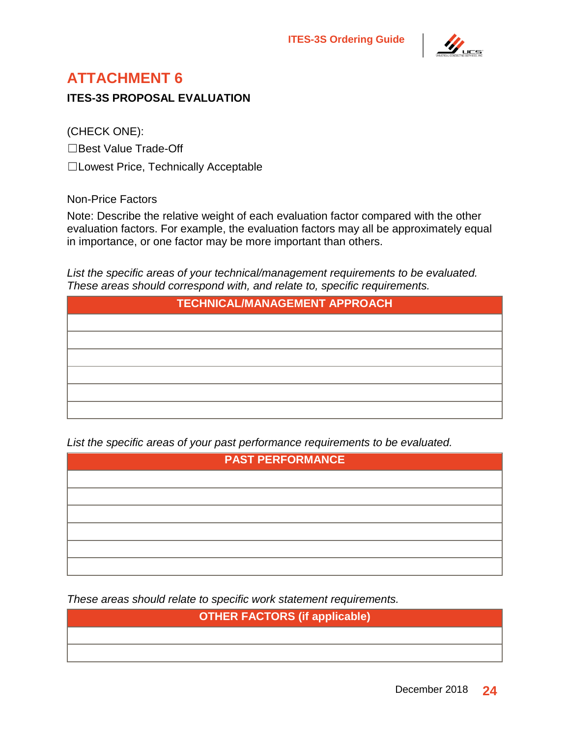

# <span id="page-27-0"></span>**ATTACHMENT 6**

**ITES-3S PROPOSAL EVALUATION**

(CHECK ONE):

☐Best Value Trade-Off

☐Lowest Price, Technically Acceptable

Non-Price Factors

Note: Describe the relative weight of each evaluation factor compared with the other evaluation factors. For example, the evaluation factors may all be approximately equal in importance, or one factor may be more important than others.

*List the specific areas of your technical/management requirements to be evaluated. These areas should correspond with, and relate to, specific requirements.*

| <b>TECHNICAL/MANAGEMENT APPROACH</b> |  |
|--------------------------------------|--|
|                                      |  |
|                                      |  |
|                                      |  |
|                                      |  |
|                                      |  |
|                                      |  |

*List the specific areas of your past performance requirements to be evaluated.*

| <b>PAST PERFORMANCE</b> |  |
|-------------------------|--|
|                         |  |
|                         |  |
|                         |  |
|                         |  |
|                         |  |
|                         |  |

*These areas should relate to specific work statement requirements.*

**OTHER FACTORS (if applicable)**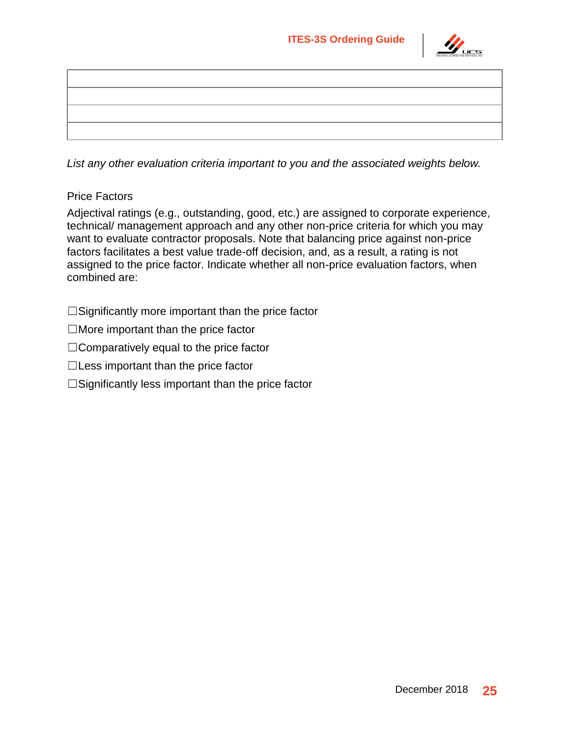

*List any other evaluation criteria important to you and the associated weights below.*

#### Price Factors

Adjectival ratings (e.g., outstanding, good, etc.) are assigned to corporate experience, technical/ management approach and any other non-price criteria for which you may want to evaluate contractor proposals. Note that balancing price against non-price factors facilitates a best value trade-off decision, and, as a result, a rating is not assigned to the price factor. Indicate whether all non-price evaluation factors, when combined are:

 $\square$ Significantly more important than the price factor

 $\Box$ More important than the price factor

☐Comparatively equal to the price factor

 $\Box$  Less important than the price factor

 $\square$ Significantly less important than the price factor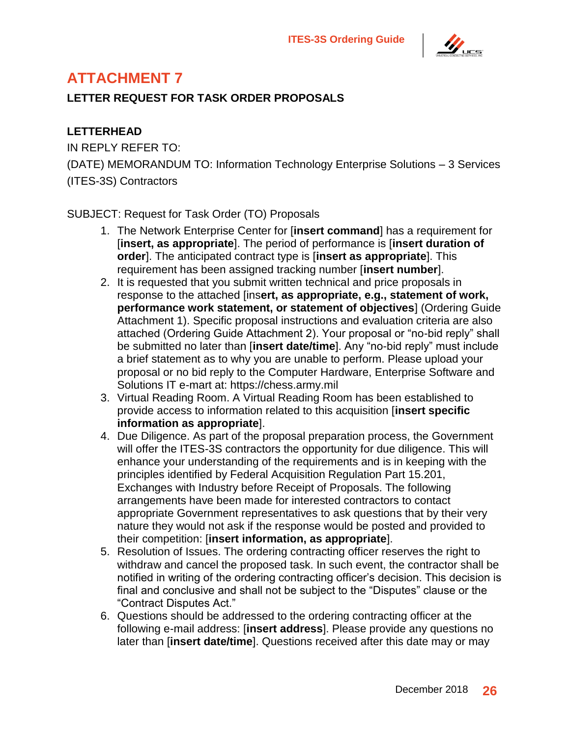

# <span id="page-29-0"></span>**ATTACHMENT 7**

#### **LETTER REQUEST FOR TASK ORDER PROPOSALS**

#### **LETTERHEAD**

IN REPLY REFER TO: (DATE) MEMORANDUM TO: Information Technology Enterprise Solutions – 3 Services (ITES-3S) Contractors

#### SUBJECT: Request for Task Order (TO) Proposals

- 1. The Network Enterprise Center for [**insert command**] has a requirement for [**insert, as appropriate**]. The period of performance is [**insert duration of order**]. The anticipated contract type is [**insert as appropriate**]. This requirement has been assigned tracking number [**insert number**].
- 2. It is requested that you submit written technical and price proposals in response to the attached [ins**ert, as appropriate, e.g., statement of work, performance work statement, or statement of objectives**] (Ordering Guide Attachment 1). Specific proposal instructions and evaluation criteria are also attached (Ordering Guide Attachment 2). Your proposal or "no-bid reply" shall be submitted no later than [**insert date/time**]. Any "no-bid reply" must include a brief statement as to why you are unable to perform. Please upload your proposal or no bid reply to the Computer Hardware, Enterprise Software and Solutions IT e-mart at: https://chess.army.mil
- 3. Virtual Reading Room. A Virtual Reading Room has been established to provide access to information related to this acquisition [**insert specific information as appropriate**].
- 4. Due Diligence. As part of the proposal preparation process, the Government will offer the ITES-3S contractors the opportunity for due diligence. This will enhance your understanding of the requirements and is in keeping with the principles identified by Federal Acquisition Regulation Part 15.201, Exchanges with Industry before Receipt of Proposals. The following arrangements have been made for interested contractors to contact appropriate Government representatives to ask questions that by their very nature they would not ask if the response would be posted and provided to their competition: [**insert information, as appropriate**].
- 5. Resolution of Issues. The ordering contracting officer reserves the right to withdraw and cancel the proposed task. In such event, the contractor shall be notified in writing of the ordering contracting officer's decision. This decision is final and conclusive and shall not be subject to the "Disputes" clause or the "Contract Disputes Act."
- 6. Questions should be addressed to the ordering contracting officer at the following e-mail address: [**insert address**]. Please provide any questions no later than [**insert date/time**]. Questions received after this date may or may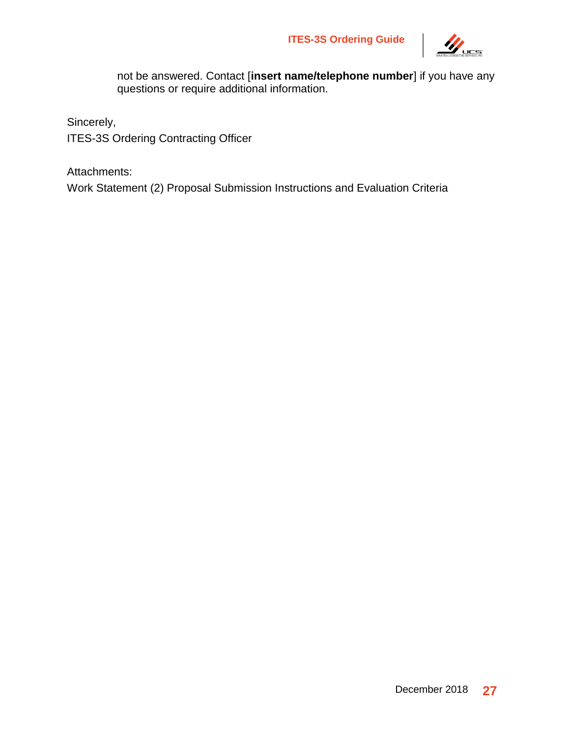

not be answered. Contact [**insert name/telephone number**] if you have any questions or require additional information.

Sincerely,

ITES-3S Ordering Contracting Officer

Attachments:

Work Statement (2) Proposal Submission Instructions and Evaluation Criteria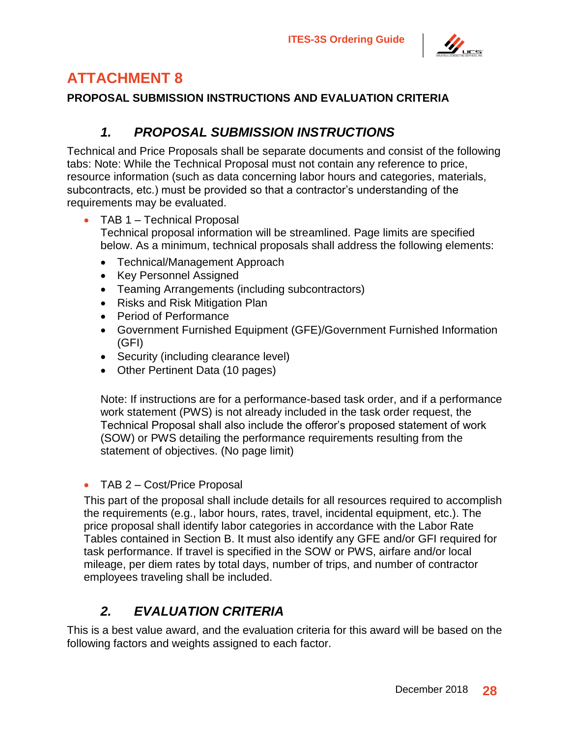

# <span id="page-31-0"></span>**ATTACHMENT 8**

#### **PROPOSAL SUBMISSION INSTRUCTIONS AND EVALUATION CRITERIA**

### *1. PROPOSAL SUBMISSION INSTRUCTIONS*

<span id="page-31-1"></span>Technical and Price Proposals shall be separate documents and consist of the following tabs: Note: While the Technical Proposal must not contain any reference to price, resource information (such as data concerning labor hours and categories, materials, subcontracts, etc.) must be provided so that a contractor's understanding of the requirements may be evaluated.

- TAB 1 Technical Proposal Technical proposal information will be streamlined. Page limits are specified below. As a minimum, technical proposals shall address the following elements:
	- Technical/Management Approach
	- Key Personnel Assigned
	- Teaming Arrangements (including subcontractors)
	- Risks and Risk Mitigation Plan
	- Period of Performance
	- Government Furnished Equipment (GFE)/Government Furnished Information (GFI)
	- Security (including clearance level)
	- Other Pertinent Data (10 pages)

Note: If instructions are for a performance-based task order, and if a performance work statement (PWS) is not already included in the task order request, the Technical Proposal shall also include the offeror's proposed statement of work (SOW) or PWS detailing the performance requirements resulting from the statement of objectives. (No page limit)

#### • TAB 2 – Cost/Price Proposal

This part of the proposal shall include details for all resources required to accomplish the requirements (e.g., labor hours, rates, travel, incidental equipment, etc.). The price proposal shall identify labor categories in accordance with the Labor Rate Tables contained in Section B. It must also identify any GFE and/or GFI required for task performance. If travel is specified in the SOW or PWS, airfare and/or local mileage, per diem rates by total days, number of trips, and number of contractor employees traveling shall be included.

### *2. EVALUATION CRITERIA*

<span id="page-31-2"></span>This is a best value award, and the evaluation criteria for this award will be based on the following factors and weights assigned to each factor.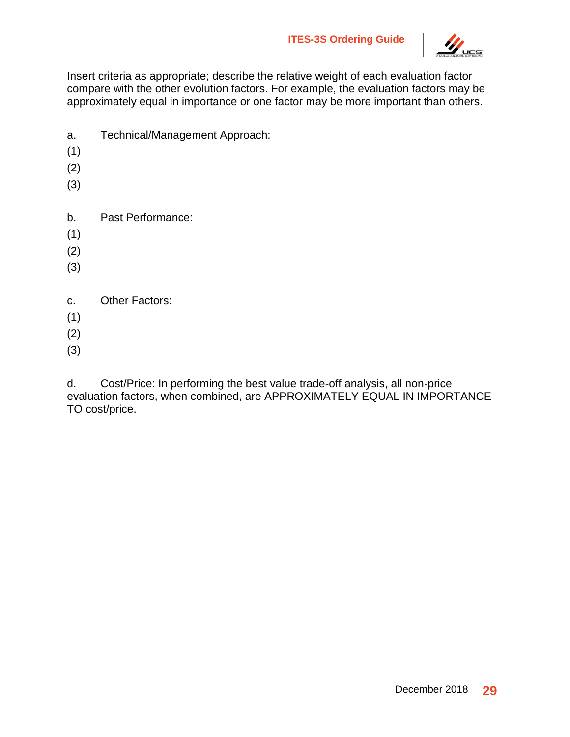

Insert criteria as appropriate; describe the relative weight of each evaluation factor compare with the other evolution factors. For example, the evaluation factors may be approximately equal in importance or one factor may be more important than others.

- a. Technical/Management Approach:
- (1)
- (2)
- (3)
- b. Past Performance:
- (1)
- (2)
- (3)
- c. Other Factors:
- (1)
- (2)
- (3)

d. Cost/Price: In performing the best value trade-off analysis, all non-price evaluation factors, when combined, are APPROXIMATELY EQUAL IN IMPORTANCE TO cost/price.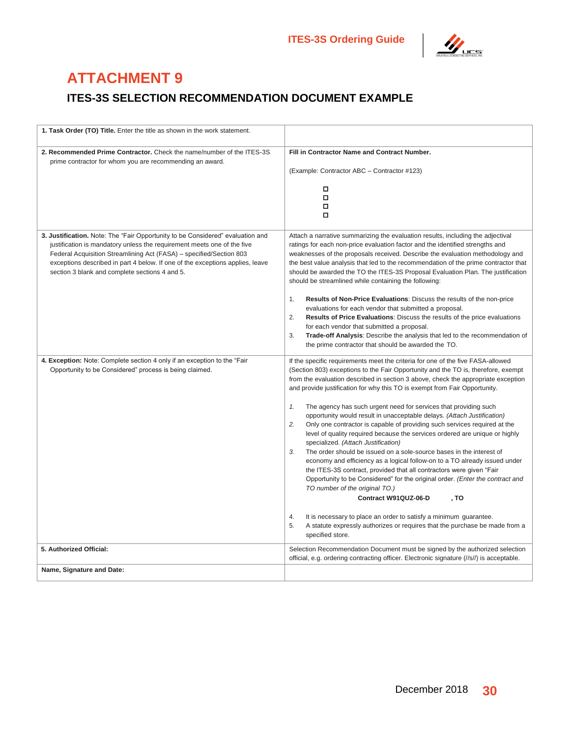

# <span id="page-33-0"></span>**ATTACHMENT 9**

### **ITES-3S SELECTION RECOMMENDATION DOCUMENT EXAMPLE**

| 1. Task Order (TO) Title. Enter the title as shown in the work statement.                                                                            |                                                                                                                                                                          |
|------------------------------------------------------------------------------------------------------------------------------------------------------|--------------------------------------------------------------------------------------------------------------------------------------------------------------------------|
| 2. Recommended Prime Contractor. Check the name/number of the ITES-3S                                                                                | Fill in Contractor Name and Contract Number.                                                                                                                             |
| prime contractor for whom you are recommending an award.                                                                                             | (Example: Contractor ABC - Contractor #123)                                                                                                                              |
|                                                                                                                                                      | о                                                                                                                                                                        |
|                                                                                                                                                      | $\Box$<br>о                                                                                                                                                              |
|                                                                                                                                                      | о                                                                                                                                                                        |
| 3. Justification. Note: The "Fair Opportunity to be Considered" evaluation and                                                                       | Attach a narrative summarizing the evaluation results, including the adjectival                                                                                          |
| justification is mandatory unless the requirement meets one of the five                                                                              | ratings for each non-price evaluation factor and the identified strengths and                                                                                            |
| Federal Acquisition Streamlining Act (FASA) - specified/Section 803<br>exceptions described in part 4 below. If one of the exceptions applies, leave | weaknesses of the proposals received. Describe the evaluation methodology and<br>the best value analysis that led to the recommendation of the prime contractor that     |
| section 3 blank and complete sections 4 and 5.                                                                                                       | should be awarded the TO the ITES-3S Proposal Evaluation Plan. The justification<br>should be streamlined while containing the following:                                |
|                                                                                                                                                      | $\mathbf{1}$ .<br>Results of Non-Price Evaluations: Discuss the results of the non-price                                                                                 |
|                                                                                                                                                      | evaluations for each vendor that submitted a proposal.<br>2.<br><b>Results of Price Evaluations:</b> Discuss the results of the price evaluations                        |
|                                                                                                                                                      | for each vendor that submitted a proposal.                                                                                                                               |
|                                                                                                                                                      | 3.<br>Trade-off Analysis: Describe the analysis that led to the recommendation of<br>the prime contractor that should be awarded the TO.                                 |
| 4. Exception: Note: Complete section 4 only if an exception to the "Fair                                                                             | If the specific requirements meet the criteria for one of the five FASA-allowed                                                                                          |
| Opportunity to be Considered" process is being claimed.                                                                                              | (Section 803) exceptions to the Fair Opportunity and the TO is, therefore, exempt<br>from the evaluation described in section 3 above, check the appropriate exception   |
|                                                                                                                                                      | and provide justification for why this TO is exempt from Fair Opportunity.                                                                                               |
|                                                                                                                                                      | 1.<br>The agency has such urgent need for services that providing such<br>opportunity would result in unacceptable delays. (Attach Justification)                        |
|                                                                                                                                                      | 2.<br>Only one contractor is capable of providing such services required at the                                                                                          |
|                                                                                                                                                      | level of quality required because the services ordered are unique or highly<br>specialized. (Attach Justification)                                                       |
|                                                                                                                                                      | $\mathcal{S}$<br>The order should be issued on a sole-source bases in the interest of<br>economy and efficiency as a logical follow-on to a TO already issued under      |
|                                                                                                                                                      | the ITES-3S contract, provided that all contractors were given "Fair                                                                                                     |
|                                                                                                                                                      | Opportunity to be Considered" for the original order. (Enter the contract and<br>TO number of the original TO.)                                                          |
|                                                                                                                                                      | Contract W91QUZ-06-D<br>, To                                                                                                                                             |
|                                                                                                                                                      | 4.<br>It is necessary to place an order to satisfy a minimum guarantee.                                                                                                  |
|                                                                                                                                                      | 5.<br>A statute expressly authorizes or requires that the purchase be made from a<br>specified store.                                                                    |
| 5. Authorized Official:                                                                                                                              | Selection Recommendation Document must be signed by the authorized selection<br>official, e.g. ordering contracting officer. Electronic signature (//s//) is acceptable. |
| Name, Signature and Date:                                                                                                                            |                                                                                                                                                                          |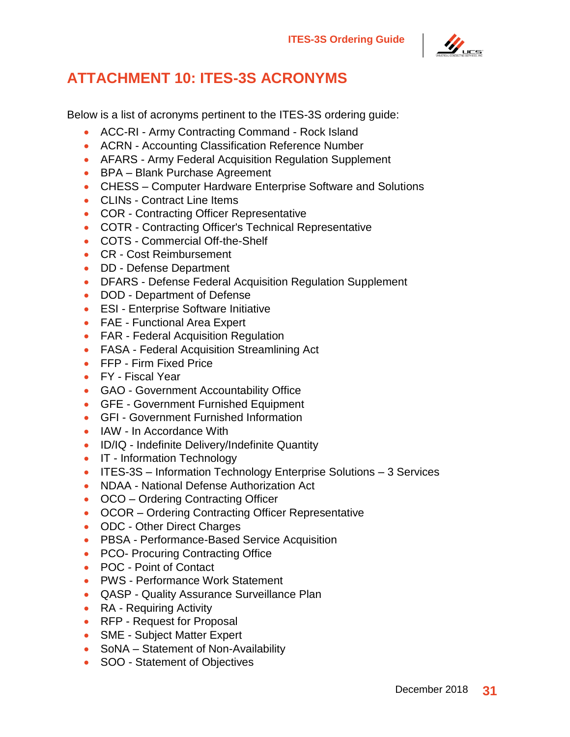

# <span id="page-34-0"></span>**ATTACHMENT 10: ITES-3S ACRONYMS**

Below is a list of acronyms pertinent to the ITES-3S ordering guide:

- ACC-RI Army Contracting Command Rock Island
- ACRN Accounting Classification Reference Number
- AFARS Army Federal Acquisition Regulation Supplement
- BPA Blank Purchase Agreement
- CHESS Computer Hardware Enterprise Software and Solutions
- CLINs Contract Line Items
- COR Contracting Officer Representative
- COTR Contracting Officer's Technical Representative
- COTS Commercial Off-the-Shelf
- CR Cost Reimbursement
- **DD** Defense Department
- DFARS Defense Federal Acquisition Regulation Supplement
- DOD Department of Defense
- ESI Enterprise Software Initiative
- FAE Functional Area Expert
- FAR Federal Acquisition Regulation
- FASA Federal Acquisition Streamlining Act
- FFP Firm Fixed Price
- FY Fiscal Year
- GAO Government Accountability Office
- GFE Government Furnished Equipment
- GFI Government Furnished Information
- IAW In Accordance With
- ID/IQ Indefinite Delivery/Indefinite Quantity
- IT Information Technology
- ITES-3S Information Technology Enterprise Solutions 3 Services
- NDAA National Defense Authorization Act
- OCO Ordering Contracting Officer
- OCOR Ordering Contracting Officer Representative
- ODC Other Direct Charges
- PBSA Performance-Based Service Acquisition
- PCO- Procuring Contracting Office
- POC Point of Contact
- PWS Performance Work Statement
- QASP Quality Assurance Surveillance Plan
- RA Requiring Activity
- RFP Request for Proposal
- SME Subject Matter Expert
- SoNA Statement of Non-Availability
- SOO Statement of Objectives